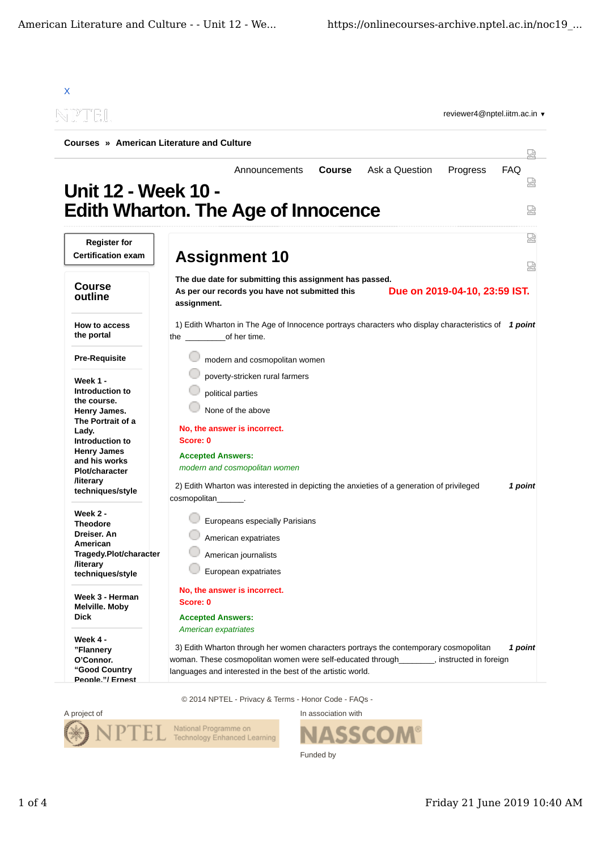|                                       | Courses » American Literature and Culture                                                                                                                                      |         |  |
|---------------------------------------|--------------------------------------------------------------------------------------------------------------------------------------------------------------------------------|---------|--|
|                                       | Ask a Question<br><b>FAQ</b><br><b>Course</b><br>Progress<br>Announcements                                                                                                     |         |  |
| Unit 12 - Week 10 -                   | <b>Edith Wharton. The Age of Innocence</b>                                                                                                                                     | 눲       |  |
| <b>Register for</b>                   |                                                                                                                                                                                |         |  |
| <b>Certification exam</b>             | <b>Assignment 10</b>                                                                                                                                                           | 덣       |  |
|                                       | The due date for submitting this assignment has passed.                                                                                                                        |         |  |
| <b>Course</b><br>outline              | Due on 2019-04-10, 23:59 IST.<br>As per our records you have not submitted this<br>assignment.                                                                                 |         |  |
| How to access<br>the portal           | 1) Edith Wharton in The Age of Innocence portrays characters who display characteristics of 1 point<br>the of her time.                                                        |         |  |
| <b>Pre-Requisite</b>                  | modern and cosmopolitan women                                                                                                                                                  |         |  |
| Week 1 -                              | poverty-stricken rural farmers                                                                                                                                                 |         |  |
| Introduction to                       | political parties                                                                                                                                                              |         |  |
| the course.                           | None of the above                                                                                                                                                              |         |  |
| Henry James.<br>The Portrait of a     |                                                                                                                                                                                |         |  |
| Lady.                                 | No, the answer is incorrect.                                                                                                                                                   |         |  |
| Introduction to<br><b>Henry James</b> | Score: 0                                                                                                                                                                       |         |  |
| and his works                         | <b>Accepted Answers:</b>                                                                                                                                                       |         |  |
| <b>Plot/character</b>                 | modern and cosmopolitan women                                                                                                                                                  |         |  |
| <b>/literary</b><br>techniques/style  | 2) Edith Wharton was interested in depicting the anxieties of a generation of privileged<br>1 point                                                                            |         |  |
|                                       | cosmopolitan_______.                                                                                                                                                           |         |  |
| Week 2 -                              |                                                                                                                                                                                |         |  |
| <b>Theodore</b>                       | Europeans especially Parisians                                                                                                                                                 |         |  |
| Dreiser. An<br>American               | American expatriates                                                                                                                                                           |         |  |
| Tragedy.Plot/character                | American journalists                                                                                                                                                           |         |  |
| <b>/literary</b><br>techniques/style  | European expatriates                                                                                                                                                           |         |  |
|                                       | No, the answer is incorrect.                                                                                                                                                   |         |  |
| Week 3 - Herman<br>Melville. Moby     | Score: 0                                                                                                                                                                       |         |  |
| <b>Dick</b>                           | <b>Accepted Answers:</b>                                                                                                                                                       |         |  |
|                                       | American expatriates                                                                                                                                                           |         |  |
| Week 4 -                              |                                                                                                                                                                                |         |  |
| "Flannery<br>O'Connor.                | 3) Edith Wharton through her women characters portrays the contemporary cosmopolitan<br>woman. These cosmopolitan women were self-educated through [16], instructed in foreign | 1 point |  |
|                                       |                                                                                                                                                                                |         |  |

© 2014 NPTEL - Privacy & Terms - Honor Code - FAQs -



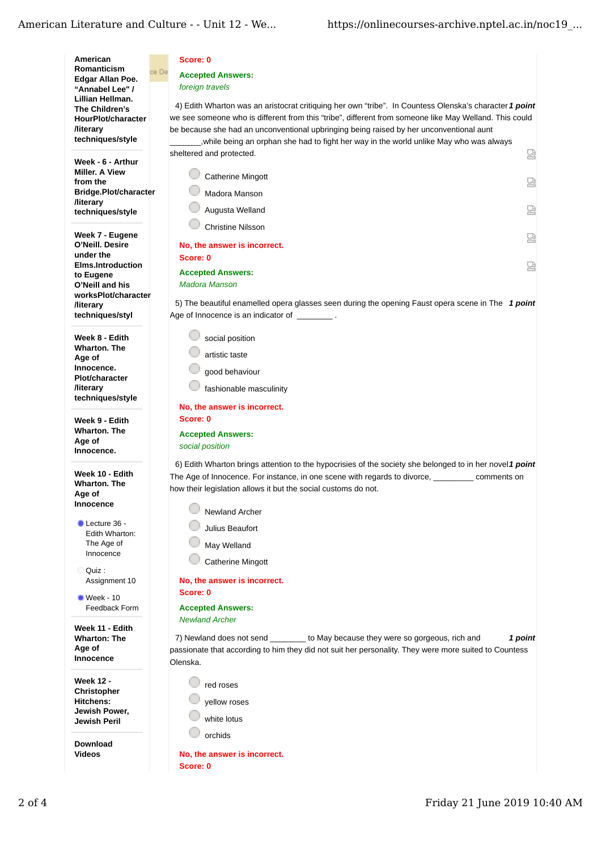American Score: 0 **Romanticism** ce De **Accepted Answers: Edgar Allan Poe.** foreign travels "Annabel Lee" / Lillian Hellman. 4) Edith Wharton was an aristocrat critiquing her own "tribe". In Countess Olenska's character 1 point The Children's we see someone who is different from this "tribe", different from someone like May Welland. This could **HourPlot/character /literary** be because she had an unconventional upbringing being raised by her unconventional aunt techniques/style , while being an orphan she had to fight her way in the world unlike May who was always sheltered and protected. 恩 Week - 6 - Arthur Miller, A View Catherine Mingott from the 赑 Bridge.Plot/character Madora Manson **/literarv** Augusta Welland 嵒 techniques/style **Christine Nilsson** Week 7 - Eugene 赑 O'Neill, Desire No, the answer is incorrect. under the Score: 0 Elms.Introduction 鬯 **Accepted Answers:** to Eugene Madora Manson O'Neill and his worksPlot/character 5) The beautiful enamelled opera glasses seen during the opening Faust opera scene in The 1 point *Iliterary* techniques/styl Age of Innocence is an indicator of social position Week 8 - Edith **Wharton, The** artistic taste Age of Innocence. good behaviour **Plot/character C** fashionable masculinity **/literary** techniques/style No, the answer is incorrect. Week 9 - Edith Score: 0 **Wharton. The Accepted Answers:** Age of social position Innocence. 6) Edith Wharton brings attention to the hypocrisies of the society she belonged to in her novel1 point Week 10 - Edith The Age of Innocence. For instance, in one scene with regards to divorce, comments on **Wharton, The** how their legislation allows it but the social customs do not. Age of Innocence Newland Archer  $l$  Lecture 36 -Julius Beaufort Edith Wharton: May Welland The Age of Innocence **Catherine Mingott** Ouiz: No, the answer is incorrect. Assignment 10 Score: 0  $\bullet$  Week - 10 Feedback Form **Accepted Answers: Newland Archer** Week 11 - Edith **Wharton: The** to May because they were so gorgeous, rich and 7) Newland does not send 1 point Age of passionate that according to him they did not suit her personality. They were more suited to Countess Innocence Olenska. **Week 12 -** $\mathbb{F}_{\text{red} \text{ roses}}$ Christopher Hitchens: yellow roses Jewish Power, white lotus **Jewish Peril** orchids Download Videos No, the answer is incorrect. Score: 0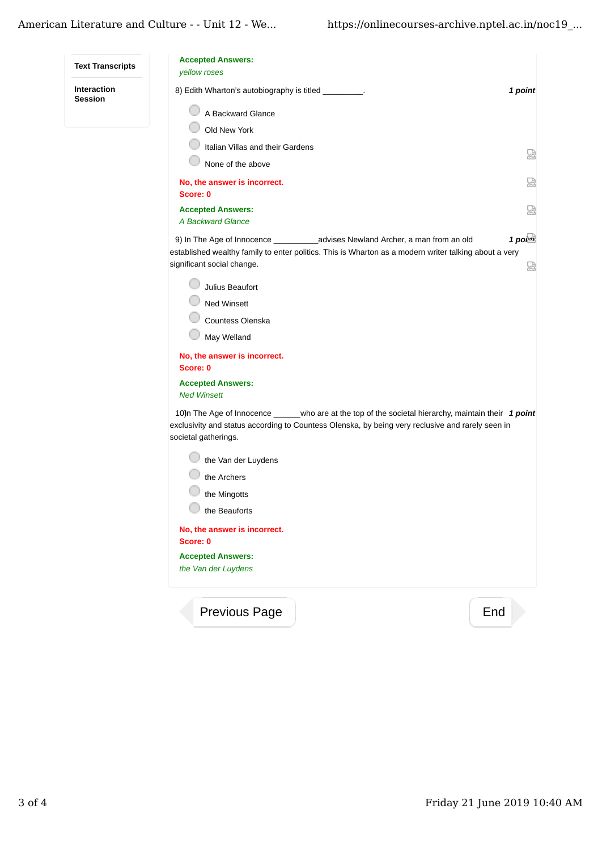| <b>Text Transcripts</b>              | <b>Accepted Answers:</b><br>yellow roses                                                                                                                                                                                         |                         |
|--------------------------------------|----------------------------------------------------------------------------------------------------------------------------------------------------------------------------------------------------------------------------------|-------------------------|
| <b>Interaction</b><br><b>Session</b> | 8) Edith Wharton's autobiography is titled _________.                                                                                                                                                                            | 1 point                 |
|                                      | A Backward Glance                                                                                                                                                                                                                |                         |
|                                      | Old New York                                                                                                                                                                                                                     |                         |
|                                      | Italian Villas and their Gardens                                                                                                                                                                                                 | 닯                       |
|                                      | None of the above                                                                                                                                                                                                                |                         |
|                                      | No, the answer is incorrect.<br>Score: 0                                                                                                                                                                                         | 썮                       |
|                                      | <b>Accepted Answers:</b>                                                                                                                                                                                                         | 닯                       |
|                                      | A Backward Glance                                                                                                                                                                                                                |                         |
|                                      | 9) In The Age of Innocence _______________advises Newland Archer, a man from an old                                                                                                                                              | 1 poi $\mathbf{\alpha}$ |
|                                      | established wealthy family to enter politics. This is Wharton as a modern writer talking about a very<br>significant social change.                                                                                              | 눮                       |
|                                      | Julius Beaufort                                                                                                                                                                                                                  |                         |
|                                      | Ned Winsett                                                                                                                                                                                                                      |                         |
|                                      | Countess Olenska                                                                                                                                                                                                                 |                         |
|                                      | May Welland                                                                                                                                                                                                                      |                         |
|                                      | No, the answer is incorrect.<br>Score: 0                                                                                                                                                                                         |                         |
|                                      | <b>Accepted Answers:</b><br><b>Ned Winsett</b>                                                                                                                                                                                   |                         |
|                                      | 10)n The Age of Innocence ______who are at the top of the societal hierarchy, maintain their 1 point<br>exclusivity and status according to Countess Olenska, by being very reclusive and rarely seen in<br>societal gatherings. |                         |
|                                      | the Van der Luydens                                                                                                                                                                                                              |                         |
|                                      | the Archers                                                                                                                                                                                                                      |                         |
|                                      | the Mingotts                                                                                                                                                                                                                     |                         |
|                                      | the Beauforts                                                                                                                                                                                                                    |                         |
|                                      | No, the answer is incorrect.                                                                                                                                                                                                     |                         |
|                                      | Score: 0                                                                                                                                                                                                                         |                         |
|                                      | <b>Accepted Answers:</b><br>the Van der Luydens                                                                                                                                                                                  |                         |
|                                      | End<br><b>Previous Page</b>                                                                                                                                                                                                      |                         |